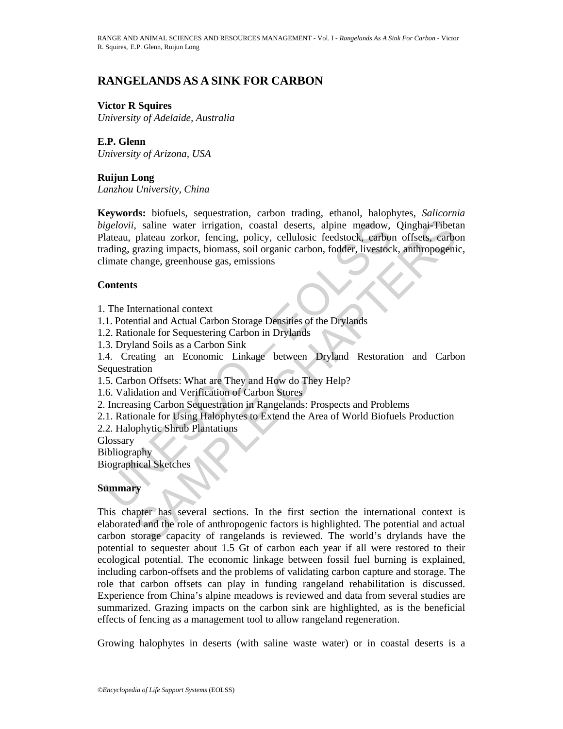# **RANGELANDS AS A SINK FOR CARBON**

#### **Victor R Squires**

*University of Adelaide, Australia* 

**E.P. Glenn**  *University of Arizona, USA* 

# **Ruijun Long**

*Lanzhou University, China* 

igelovii, saline water irrigation, coastal deserts, alpine meadow,<br>lateau, plateau zorkor, fencing, policy, cellulosic feedstock, carbon<br>ading, grazing impacts, biomass, soil organic carbon, fodder, livestoclimate change, Figure Water irrigation, coastal deserts, alpine meadow, Qinghai-Tibeta<br>plateau zorkor, fencing, policy, cellulosic feedstock, carbon offsets, carbon<br>aranging impacts, biomass, soil organic carbon, fodder, livestock, anthr **Keywords:** biofuels, sequestration, carbon trading, ethanol, halophytes, *Salicornia bigelovii*, saline water irrigation, coastal deserts, alpine meadow, Qinghai-Tibetan Plateau, plateau zorkor, fencing, policy, cellulosic feedstock, carbon offsets, carbon trading, grazing impacts, biomass, soil organic carbon, fodder, livestock, anthropogenic, climate change, greenhouse gas, emissions

### **Contents**

- 1. The International context
- 1.1. Potential and Actual Carbon Storage Densities of the Drylands
- 1.2. Rationale for Sequestering Carbon in Drylands
- 1.3. Dryland Soils as a Carbon Sink

1.4. Creating an Economic Linkage between Dryland Restoration and Carbon Sequestration

- 1.5. Carbon Offsets: What are They and How do They Help?
- 1.6. Validation and Verification of Carbon Stores
- 2. Increasing Carbon Sequestration in Rangelands: Prospects and Problems
- 2.1. Rationale for Using Halophytes to Extend the Area of World Biofuels Production
- 2.2. Halophytic Shrub Plantations

**Glossary** 

Bibliography

Biographical Sketches

#### **Summary**

This chapter has several sections. In the first section the international context is elaborated and the role of anthropogenic factors is highlighted. The potential and actual carbon storage capacity of rangelands is reviewed. The world's drylands have the potential to sequester about 1.5 Gt of carbon each year if all were restored to their ecological potential. The economic linkage between fossil fuel burning is explained, including carbon-offsets and the problems of validating carbon capture and storage. The role that carbon offsets can play in funding rangeland rehabilitation is discussed. Experience from China's alpine meadows is reviewed and data from several studies are summarized. Grazing impacts on the carbon sink are highlighted, as is the beneficial effects of fencing as a management tool to allow rangeland regeneration.

Growing halophytes in deserts (with saline waste water) or in coastal deserts is a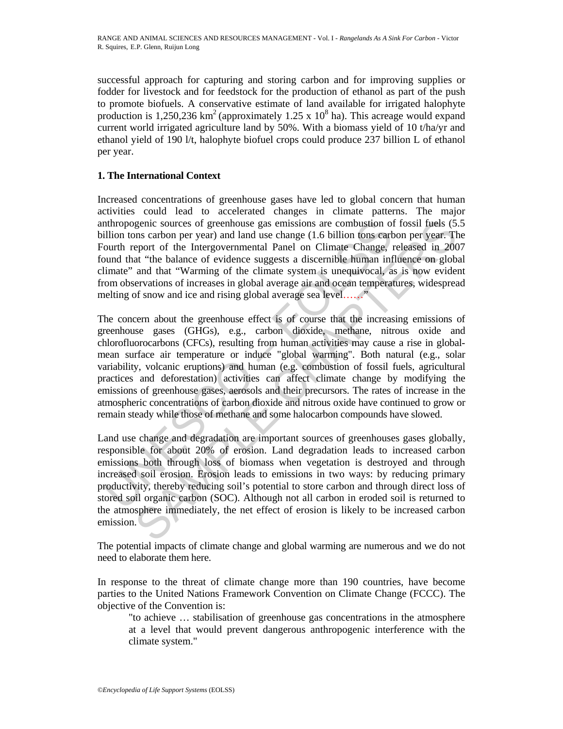successful approach for capturing and storing carbon and for improving supplies or fodder for livestock and for feedstock for the production of ethanol as part of the push to promote biofuels. A conservative estimate of land available for irrigated halophyte production is 1,250,236  $\text{km}^2$  (approximately 1.25 x 10<sup>8</sup> ha). This acreage would expand current world irrigated agriculture land by 50%. With a biomass yield of 10 t/ha/yr and ethanol yield of 190 l/t, halophyte biofuel crops could produce 237 billion L of ethanol per year.

# **1. The International Context**

Increased concentrations of greenhouse gases have led to global concern that human activities could lead to accelerated changes in climate patterns. The major anthropogenic sources of greenhouse gas emissions are combustion of fossil fuels (5.5 billion tons carbon per year) and land use change (1.6 billion tons carbon per year. The Fourth report of the Intergovernmental Panel on Climate Change, released in 2007 found that "the balance of evidence suggests a discernible human influence on global climate" and that "Warming of the climate system is unequivocal, as is now evident from observations of increases in global average air and ocean temperatures, widespread melting of snow and ice and rising global average sea level.......

nthropogenic sources of greenhouse gas emissions are combustion of<br>ullion tons carbon per year) and land use change (1.6 billion tons carbount neport<br>out the row carre and land use change (1.6 billion tons cart<br>out the row genic sources of greenhouse gas emissions are combustion of fossil fuels (5.<br>
Sons carbon per year) and land use change (1.6 billion tons carbon per year. The<br>
eport of the Intergovernmental Panel on Climate Change, releas The concern about the greenhouse effect is of course that the increasing emissions of greenhouse gases (GHGs), e.g., carbon dioxide, methane, nitrous oxide and chlorofluorocarbons (CFCs), resulting from human activities may cause a rise in globalmean surface air temperature or induce "global warming". Both natural (e.g., solar variability, volcanic eruptions) and human (e.g. combustion of fossil fuels, agricultural practices and deforestation) activities can affect climate change by modifying the emissions of greenhouse gases, aerosols and their precursors. The rates of increase in the atmospheric concentrations of carbon dioxide and nitrous oxide have continued to grow or remain steady while those of methane and some halocarbon compounds have slowed.

Land use change and degradation are important sources of greenhouses gases globally, responsible for about 20% of erosion. Land degradation leads to increased carbon emissions both through loss of biomass when vegetation is destroyed and through increased soil erosion. Erosion leads to emissions in two ways: by reducing primary productivity, thereby reducing soil's potential to store carbon and through direct loss of stored soil organic carbon (SOC). Although not all carbon in eroded soil is returned to the atmosphere immediately, the net effect of erosion is likely to be increased carbon emission.

The potential impacts of climate change and global warming are numerous and we do not need to elaborate them here.

In response to the threat of climate change more than 190 countries, have become parties to the United Nations Framework Convention on Climate Change (FCCC). The objective of the Convention is:

"to achieve … stabilisation of greenhouse gas concentrations in the atmosphere at a level that would prevent dangerous anthropogenic interference with the climate system."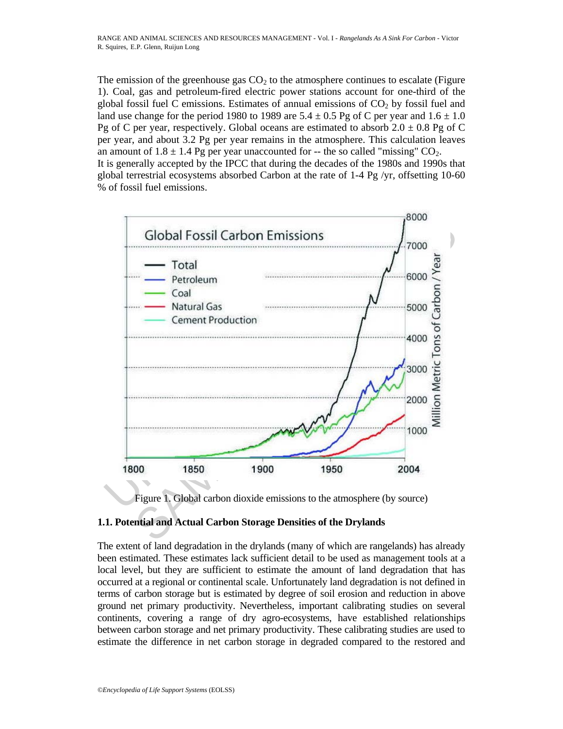The emission of the greenhouse gas  $CO<sub>2</sub>$  to the atmosphere continues to escalate (Figure 1). Coal, gas and petroleum-fired electric power stations account for one-third of the global fossil fuel C emissions. Estimates of annual emissions of  $CO<sub>2</sub>$  by fossil fuel and land use change for the period 1980 to 1989 are  $5.4 \pm 0.5$  Pg of C per year and  $1.6 \pm 1.0$ Pg of C per year, respectively. Global oceans are estimated to absorb  $2.0 \pm 0.8$  Pg of C per year, and about 3.2 Pg per year remains in the atmosphere. This calculation leaves an amount of  $1.8 \pm 1.4$  Pg per year unaccounted for -- the so called "missing"  $CO_2$ . It is generally accepted by the IPCC that during the decades of the 1980s and 1990s that global terrestrial ecosystems absorbed Carbon at the rate of  $1-4$  Pg /yr, offsetting 10-60 % of fossil fuel emissions.





# **1.1. Potential and Actual Carbon Storage Densities of the Drylands**

The extent of land degradation in the drylands (many of which are rangelands) has already been estimated. These estimates lack sufficient detail to be used as management tools at a local level, but they are sufficient to estimate the amount of land degradation that has occurred at a regional or continental scale. Unfortunately land degradation is not defined in terms of carbon storage but is estimated by degree of soil erosion and reduction in above ground net primary productivity. Nevertheless, important calibrating studies on several continents, covering a range of dry agro-ecosystems, have established relationships between carbon storage and net primary productivity. These calibrating studies are used to estimate the difference in net carbon storage in degraded compared to the restored and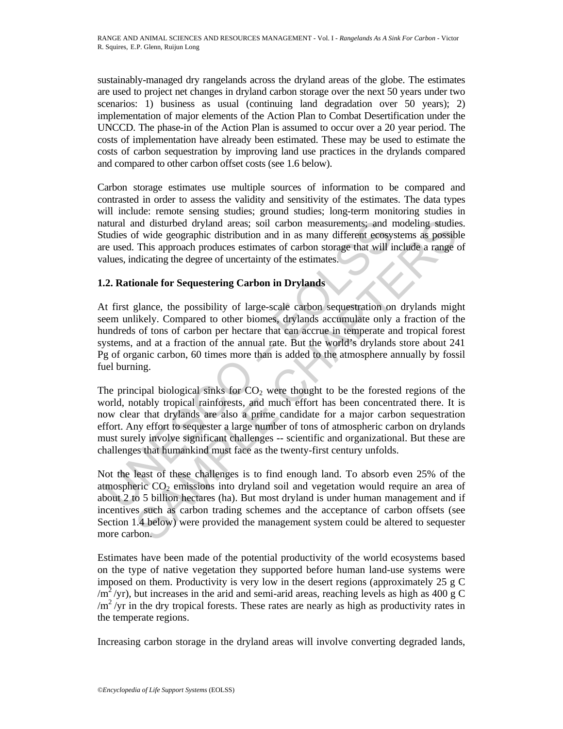sustainably-managed dry rangelands across the dryland areas of the globe. The estimates are used to project net changes in dryland carbon storage over the next 50 years under two scenarios: 1) business as usual (continuing land degradation over 50 years); 2) implementation of major elements of the Action Plan to Combat Desertification under the UNCCD. The phase-in of the Action Plan is assumed to occur over a 20 year period. The costs of implementation have already been estimated. These may be used to estimate the costs of carbon sequestration by improving land use practices in the drylands compared and compared to other carbon offset costs (see 1.6 below).

Carbon storage estimates use multiple sources of information to be compared and contrasted in order to assess the validity and sensitivity of the estimates. The data types will include: remote sensing studies; ground studies; long-term monitoring studies in natural and disturbed dryland areas; soil carbon measurements; and modeling studies. Studies of wide geographic distribution and in as many different ecosystems as possible are used. This approach produces estimates of carbon storage that will include a range of values, indicating the degree of uncertainty of the estimates.

# **1.2. Rationale for Sequestering Carbon in Drylands**

At first glance, the possibility of large-scale carbon sequestration on drylands might seem unlikely. Compared to other biomes, drylands accumulate only a fraction of the hundreds of tons of carbon per hectare that can accrue in temperate and tropical forest systems, and at a fraction of the annual rate. But the world's drylands store about 241 Pg of organic carbon, 60 times more than is added to the atmosphere annually by fossil fuel burning.

atural and disturbed dryland areas; soil carbon measurements; and utudies of wide geographic distribution and in as many different ecosy e used. This approach produces estimates of carbon storage that will i<br>alues, indicat and disturbed dryland areas; soil carbon measurements; and modeling studies<br>of wide goographic distibution and in as many different coesystems as possibly<br>This approach produces estimates of carbon storage that will inclu The principal biological sinks for  $CO<sub>2</sub>$  were thought to be the forested regions of the world, notably tropical rainforests, and much effort has been concentrated there. It is now clear that drylands are also a prime candidate for a major carbon sequestration effort. Any effort to sequester a large number of tons of atmospheric carbon on drylands must surely involve significant challenges -- scientific and organizational. But these are challenges that humankind must face as the twenty-first century unfolds.

Not the least of these challenges is to find enough land. To absorb even 25% of the atmospheric  $CO<sub>2</sub>$  emissions into dryland soil and vegetation would require an area of about 2 to 5 billion hectares (ha). But most dryland is under human management and if incentives such as carbon trading schemes and the acceptance of carbon offsets (see Section 1.4 below) were provided the management system could be altered to sequester more carbon.

Estimates have been made of the potential productivity of the world ecosystems based on the type of native vegetation they supported before human land-use systems were imposed on them. Productivity is very low in the desert regions (approximately 25 g C /m<sup>2</sup>/yr), but increases in the arid and semi-arid areas, reaching levels as high as 400 g C  $/m^2$ /yr in the dry tropical forests. These rates are nearly as high as productivity rates in the temperate regions.

Increasing carbon storage in the dryland areas will involve converting degraded lands,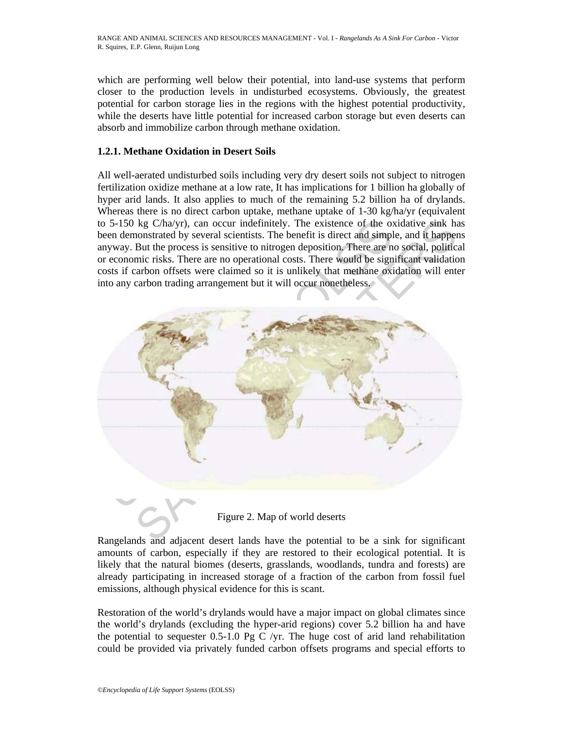which are performing well below their potential, into land-use systems that perform closer to the production levels in undisturbed ecosystems. Obviously, the greatest potential for carbon storage lies in the regions with the highest potential productivity, while the deserts have little potential for increased carbon storage but even deserts can absorb and immobilize carbon through methane oxidation.

### **1.2.1. Methane Oxidation in Desert Soils**

All well-aerated undisturbed soils including very dry desert soils not subject to nitrogen fertilization oxidize methane at a low rate, It has implications for 1 billion ha globally of hyper arid lands. It also applies to much of the remaining 5.2 billion ha of drylands. Whereas there is no direct carbon uptake, methane uptake of 1-30 kg/ha/yr (equivalent to 5-150 kg C/ha/yr), can occur indefinitely. The existence of the oxidative sink has been demonstrated by several scientists. The benefit is direct and simple, and it happens anyway. But the process is sensitive to nitrogen deposition. There are no social, political or economic risks. There are no operational costs. There would be significant validation costs if carbon offsets were claimed so it is unlikely that methane oxidation will enter into any carbon trading arrangement but it will occur nonetheless.



Figure 2. Map of world deserts

Rangelands and adjacent desert lands have the potential to be a sink for significant amounts of carbon, especially if they are restored to their ecological potential. It is likely that the natural biomes (deserts, grasslands, woodlands, tundra and forests) are already participating in increased storage of a fraction of the carbon from fossil fuel emissions, although physical evidence for this is scant.

Restoration of the world's drylands would have a major impact on global climates since the world's drylands (excluding the hyper-arid regions) cover 5.2 billion ha and have the potential to sequester  $0.5$ -1.0 Pg C /yr. The huge cost of arid land rehabilitation could be provided via privately funded carbon offsets programs and special efforts to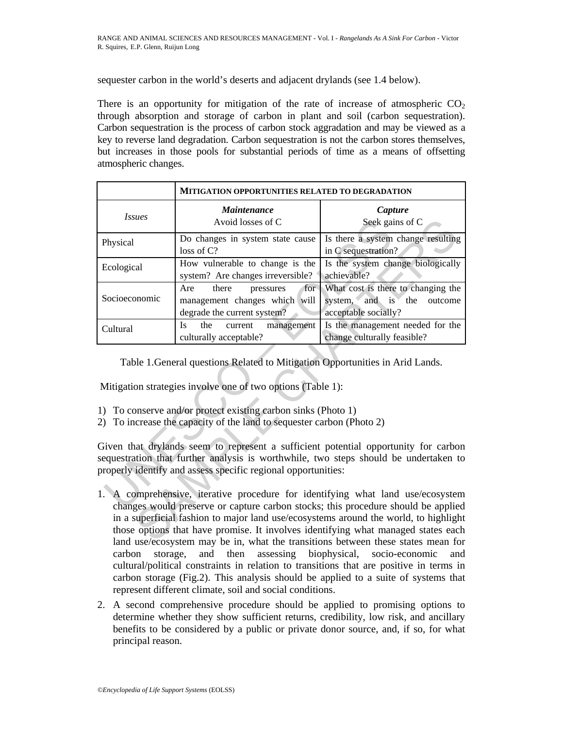sequester carbon in the world's deserts and adjacent drylands (see 1.4 below).

There is an opportunity for mitigation of the rate of increase of atmospheric  $CO<sub>2</sub>$ through absorption and storage of carbon in plant and soil (carbon sequestration). Carbon sequestration is the process of carbon stock aggradation and may be viewed as a key to reverse land degradation. Carbon sequestration is not the carbon stores themselves, but increases in those pools for substantial periods of time as a means of offsetting atmospheric changes.

|                                                                                                                                                                                                                                              | <b>MITIGATION OPPORTUNITIES RELATED TO DEGRADATION</b>                                           |                                                                                                                                                                                                                                                                                                                                                                                                                                   |
|----------------------------------------------------------------------------------------------------------------------------------------------------------------------------------------------------------------------------------------------|--------------------------------------------------------------------------------------------------|-----------------------------------------------------------------------------------------------------------------------------------------------------------------------------------------------------------------------------------------------------------------------------------------------------------------------------------------------------------------------------------------------------------------------------------|
| <b>Issues</b>                                                                                                                                                                                                                                | <i>Maintenance</i><br>Avoid losses of C                                                          | Capture<br>Seek gains of C                                                                                                                                                                                                                                                                                                                                                                                                        |
| Physical                                                                                                                                                                                                                                     | Do changes in system state cause<br>loss of C?                                                   | Is there a system change resulting<br>in C sequestration?                                                                                                                                                                                                                                                                                                                                                                         |
| Ecological                                                                                                                                                                                                                                   | How vulnerable to change is the<br>system? Are changes irreversible?                             | Is the system change biologically<br>achievable?                                                                                                                                                                                                                                                                                                                                                                                  |
| Socioeconomic                                                                                                                                                                                                                                | Are<br>there<br>pressures<br>for<br>management changes which will<br>degrade the current system? | What cost is there to changing the<br>system, and is the<br>outcome<br>acceptable socially?                                                                                                                                                                                                                                                                                                                                       |
| Cultural                                                                                                                                                                                                                                     | <b>Is</b><br>the<br>management<br>current<br>culturally acceptable?                              | Is the management needed for the<br>change culturally feasible?                                                                                                                                                                                                                                                                                                                                                                   |
| Table 1. General questions Related to Mitigation Opportunities in Arid Lands.<br>Mitigation strategies involve one of two options (Table 1):                                                                                                 |                                                                                                  |                                                                                                                                                                                                                                                                                                                                                                                                                                   |
| 1) To conserve and/or protect existing carbon sinks (Photo 1)<br>To increase the capacity of the land to sequester carbon (Photo 2)<br>2)                                                                                                    |                                                                                                  |                                                                                                                                                                                                                                                                                                                                                                                                                                   |
| Given that drylands seem to represent a sufficient potential opportunity for carbon<br>sequestration that further analysis is worthwhile, two steps should be undertaken to<br>properly identify and assess specific regional opportunities: |                                                                                                  |                                                                                                                                                                                                                                                                                                                                                                                                                                   |
| 1.                                                                                                                                                                                                                                           |                                                                                                  | A comprehensive, iterative procedure for identifying what land use/ecosystem<br>changes would preserve or capture carbon stocks; this procedure should be applied<br>in a superficial fashion to major land use/ecosystems around the world, to highlight<br>those options that have promise. It involves identifying what managed states each<br>land use/ecosystem may be in what the transitions between these states mean for |

- 1) To conserve and/or protect existing carbon sinks (Photo 1)
- 2) To increase the capacity of the land to sequester carbon (Photo 2)

- 1. A comprehensive, iterative procedure for identifying what land use/ecosystem changes would preserve or capture carbon stocks; this procedure should be applied in a superficial fashion to major land use/ecosystems around the world, to highlight those options that have promise. It involves identifying what managed states each land use/ecosystem may be in, what the transitions between these states mean for carbon storage, and then assessing biophysical, socio-economic and cultural/political constraints in relation to transitions that are positive in terms in carbon storage (Fig.2). This analysis should be applied to a suite of systems that represent different climate, soil and social conditions.
- 2. A second comprehensive procedure should be applied to promising options to determine whether they show sufficient returns, credibility, low risk, and ancillary benefits to be considered by a public or private donor source, and, if so, for what principal reason.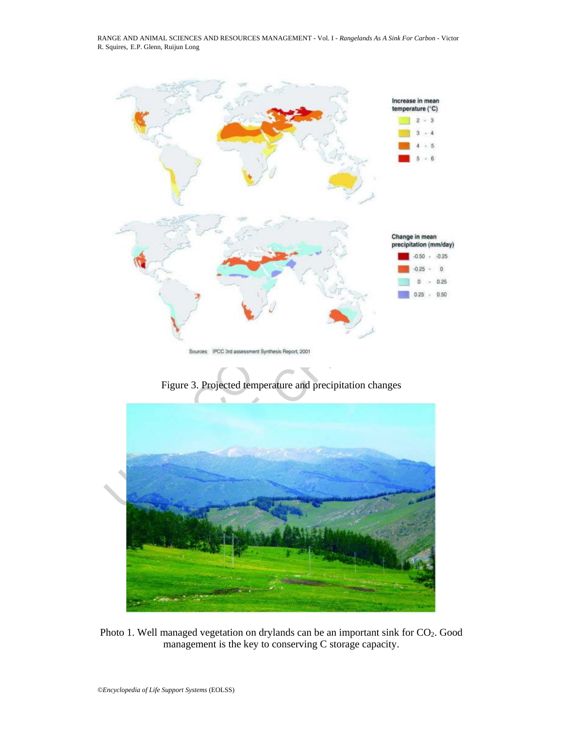

Figure 3. Projected temperature and precipitation changes



Photo 1. Well managed vegetation on drylands can be an important sink for CO<sub>2</sub>. Good management is the key to conserving C storage capacity.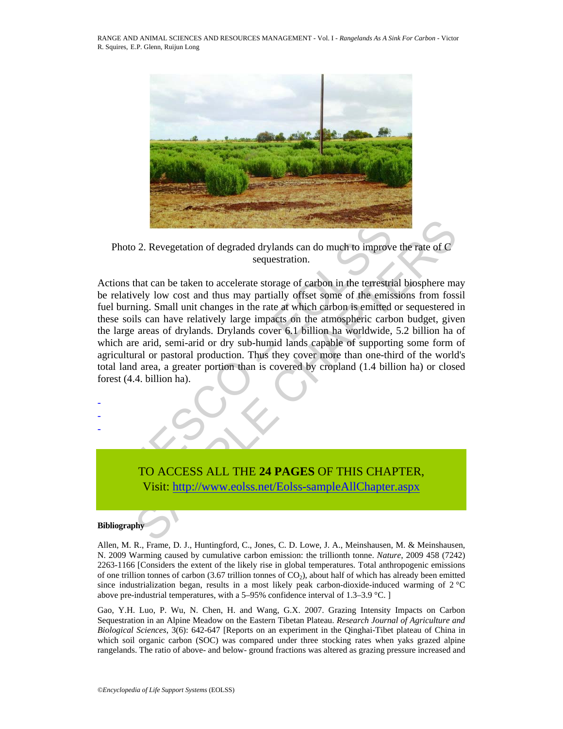

Photo 2. Revegetation of degraded drylands can do much to improve the rate of C sequestration.

Photo 2. Revegetation of degraded drylands can do much to improve<br>sequestration.<br>ctions that can be taken to accelerate storage of carbon in the terrestire<br>relatively low cost and thus may partially offset some of the emis 2. Revegetation of degraded drylands can do much to improve the rate of C<br>sequestration.<br>that can be taken to accelerate storage of carbon in the terrestrial biosphere may<br>be low cost and thus may partially offset some of Actions that can be taken to accelerate storage of carbon in the terrestrial biosphere may be relatively low cost and thus may partially offset some of the emissions from fossil fuel burning. Small unit changes in the rate at which carbon is emitted or sequestered in these soils can have relatively large impacts on the atmospheric carbon budget, given the large areas of drylands. Drylands cover 6.1 billion ha worldwide, 5.2 billion ha of which are arid, semi-arid or dry sub-humid lands capable of supporting some form of agricultural or pastoral production. Thus they cover more than one-third of the world's total land area, a greater portion than is covered by cropland (1.4 billion ha) or closed forest (4.4. billion ha).

TO ACCESS ALL THE **24 PAGES** OF THIS CHAPTER, Visit: http://www.eolss.net/Eolss-sampleAllChapter.aspx

#### **Bibliography**

- - -

Allen, M. R., Frame, D. J., Huntingford, C., Jones, C. D. Lowe, J. A., Meinshausen, M. & Meinshausen, N. 2009 Warming caused by cumulative carbon emission: the trillionth tonne. *Nature*, 2009 458 (7242) 2263-1166 [Considers the extent of the likely rise in global temperatures. Total anthropogenic emissions of one trillion tonnes of carbon (3.67 trillion tonnes of  $CO<sub>2</sub>$ ), about half of which has already been emitted since industrialization began, results in a most likely peak carbon-dioxide-induced warming of  $2^{\circ}C$ above pre-industrial temperatures, with a 5–95% confidence interval of 1.3–3.9 °C. ]

Gao, Y.H. Luo, P. Wu, N. Chen, H. and Wang, G.X. 2007. Grazing Intensity Impacts on Carbon Sequestration in an Alpine Meadow on the Eastern Tibetan Plateau. *Research Journal of Agriculture and Biological Sciences*, 3(6): 642-647 [Reports on an experiment in the Qinghai-Tibet plateau of China in which soil organic carbon (SOC) was compared under three stocking rates when yaks grazed alpine rangelands. The ratio of above- and below- ground fractions was altered as grazing pressure increased and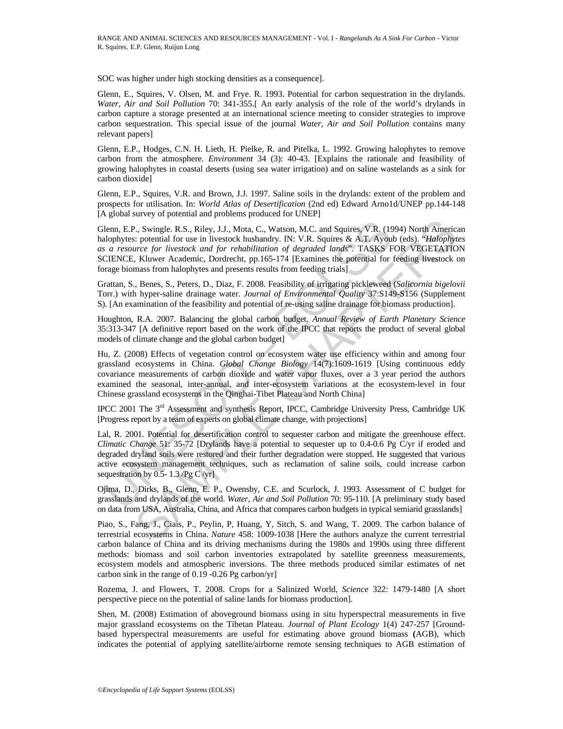SOC was higher under high stocking densities as a consequence].

Glenn, E., Squires, V. Olsen, M. and Frye. R. 1993. Potential for carbon sequestration in the drylands. *Water, Air and Soil Pollution* 70: 341-355.[ An early analysis of the role of the world's drylands in carbon capture a storage presented at an international science meeting to consider strategies to improve carbon sequestration. This special issue of the journal *Water, Air and Soil Pollution* contains many relevant papers]

Glenn, E.P., Hodges, C.N. H. Lieth, H. Pielke, R. and Pitelka, L. 1992. Growing halophytes to remove carbon from the atmosphere. *Environment* 34 (3): 40-43. [Explains the rationale and feasibility of growing halophytes in coastal deserts (using sea water irrigation) and on saline wastelands as a sink for carbon dioxide]

Glenn, E.P., Squires, V.R. and Brown, J.J. 1997. Saline soils in the drylands: extent of the problem and prospects for utilisation. In: *World Atlas of Desertification* (2nd ed) Edward Arno1d/UNEP pp.144-148 [A global survey of potential and problems produced for UNEP]

lenn, E.P., Swingle. R.S., Riley, J.J., Mota, C., Watson, M.C. and Squires, V.R. (19<br>ulophytes: potential for use in livestock husbandry. IN: V.R. Squires & A.T. Ayoul<br>alophytes: potential for use in livestock mushandry. 2, Swingle. R.S., Riley, J.J., Mota, C., Watson, M.C. and Squires, V.R. (1994) North America<br>
2: potential for use in ivestock husbandy. IN: V.R. Squires & A.T. Ayoub (eds). "Halophyus and the use in ivestock and for reha Glenn, E.P., Swingle. R.S., Riley, J.J., Mota, C., Watson, M.C. and Squires, V.R. (1994) North American halophytes: potential for use in livestock husbandry. IN: V.R. Squires & A.T. Ayoub (eds). "*Halophytes as a resource for livestock and for rehabilitation of degraded lands*". TASKS FOR VEGETATION SCIENCE, Kluwer Academic, Dordrecht, pp.165-174 [Examines the potential for feeding livestock on forage biomass from halophytes and presents results from feeding trials]

Grattan, S., Benes, S., Peters, D., Diaz, F. 2008. Feasibility of irrigating pickleweed (*Salicornia bigelovii* Torr.) with hyper-saline drainage water. *Journal of Environmental Quality* 37:S149-S156 (Supplement S). [An examination of the feasibility and potential of re-using saline drainage for biomass production].

Houghton, R.A. 2007. Balancing the global carbon budget. *Annual Review of Earth Planetary Science*  35:313-347 [A definitive report based on the work of the IPCC that reports the product of several global models of climate change and the global carbon budget]

Hu, Z. (2008) Effects of vegetation control on ecosystem water use efficiency within and among four grassland ecosystems in China. *Global Change Biology* 14(7):1609-1619 [Using continuous eddy covariance measurements of carbon dioxide and water vapor fluxes, over a 3 year period the authors examined the seasonal, inter-annual, and inter-ecosystem variations at the ecosystem-level in four Chinese grassland ecosystems in the Qinghai-Tibet Plateau and North China]

IPCC 2001 The 3rd Assessment and synthesis Report, IPCC, Cambridge University Press, Cambridge UK [Progress report by a team of experts on global climate change, with projections]

Lal, R. 2001. Potential for desertification control to sequester carbon and mitigate the greenhouse effect. *Climatic Change* 51: 35-72 [Drylands have a potential to sequester up to 0.4-0.6 Pg C/yr if eroded and degraded dryland soils were restored and their further degradation were stopped. He suggested that various active ecosystem management techniques, such as reclamation of saline soils, could increase carbon sequestration by 0.5-1.3 /Pg C /yr]

Ojima, D., Dirks, B., Glenn, E. P., Owensby, C.E. and Scurlock, J. 1993. Assessment of C budget for grasslands and drylands of the world. *Water, Air and Soil Pollution* 70: 95-110. [A preliminary study based on data from USA, Australia, China, and Africa that compares carbon budgets in typical semiarid grasslands]

Piao, S., Fang, J., Ciais, P., Peylin, P, Huang, Y, Sitch, S. and Wang, T. 2009. The carbon balance of terrestrial ecosystems in China. *Nature* 458: 1009-1038 [Here the authors analyze the current terrestrial carbon balance of China and its driving mechanisms during the 1980s and 1990s using three different methods: biomass and soil carbon inventories extrapolated by satellite greenness measurements, ecosystem models and atmospheric inversions. The three methods produced similar estimates of net carbon sink in the range of 0.19 -0.26 Pg carbon/yr]

Rozema, J. and Flowers, T. 2008. Crops for a Salinized World, *Science* 322: 1479-1480 [A short perspective piece on the potential of saline lands for biomass production].

Shen, M. (2008) Estimation of aboveground biomass using in situ hyperspectral measurements in five major grassland ecosystems on the Tibetan Plateau. *Journal of Plant Ecology* 1(4) 247-257 [Groundbased hyperspectral measurements are useful for estimating above ground biomass **(**AGB), which indicates the potential of applying satellite/airborne remote sensing techniques to AGB estimation of